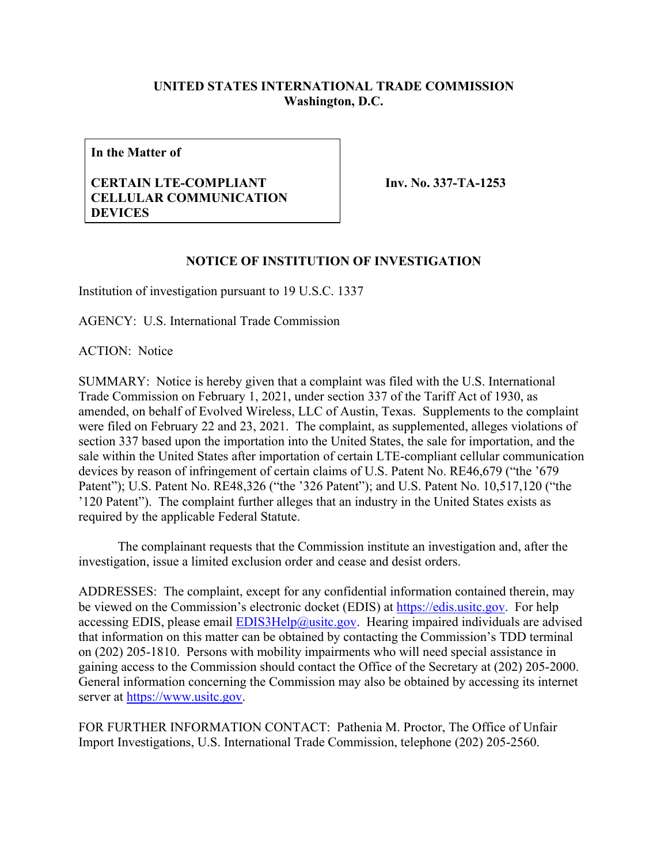## **UNITED STATES INTERNATIONAL TRADE COMMISSION Washington, D.C.**

**In the Matter of**

## **CERTAIN LTE-COMPLIANT CELLULAR COMMUNICATION DEVICES**

**Inv. No. 337-TA-1253**

## **NOTICE OF INSTITUTION OF INVESTIGATION**

Institution of investigation pursuant to 19 U.S.C. 1337

AGENCY: U.S. International Trade Commission

ACTION: Notice

SUMMARY: Notice is hereby given that a complaint was filed with the U.S. International Trade Commission on February 1, 2021, under section 337 of the Tariff Act of 1930, as amended, on behalf of Evolved Wireless, LLC of Austin, Texas. Supplements to the complaint were filed on February 22 and 23, 2021. The complaint, as supplemented, alleges violations of section 337 based upon the importation into the United States, the sale for importation, and the sale within the United States after importation of certain LTE-compliant cellular communication devices by reason of infringement of certain claims of U.S. Patent No. RE46,679 ("the '679 Patent"); U.S. Patent No. RE48,326 ("the '326 Patent"); and U.S. Patent No. 10,517,120 ("the '120 Patent"). The complaint further alleges that an industry in the United States exists as required by the applicable Federal Statute.

The complainant requests that the Commission institute an investigation and, after the investigation, issue a limited exclusion order and cease and desist orders.

ADDRESSES: The complaint, except for any confidential information contained therein, may be viewed on the Commission's electronic docket (EDIS) at [https://edis.usitc.gov.](https://edis.usitc.gov/) For help accessing EDIS, please email  $EDIS3Help@usite.gov$ . Hearing impaired individuals are advised that information on this matter can be obtained by contacting the Commission's TDD terminal on (202) 205-1810. Persons with mobility impairments who will need special assistance in gaining access to the Commission should contact the Office of the Secretary at (202) 205-2000. General information concerning the Commission may also be obtained by accessing its internet server at [https://www.usitc.gov.](https://www.usitc.gov/)

FOR FURTHER INFORMATION CONTACT: Pathenia M. Proctor, The Office of Unfair Import Investigations, U.S. International Trade Commission, telephone (202) 205-2560.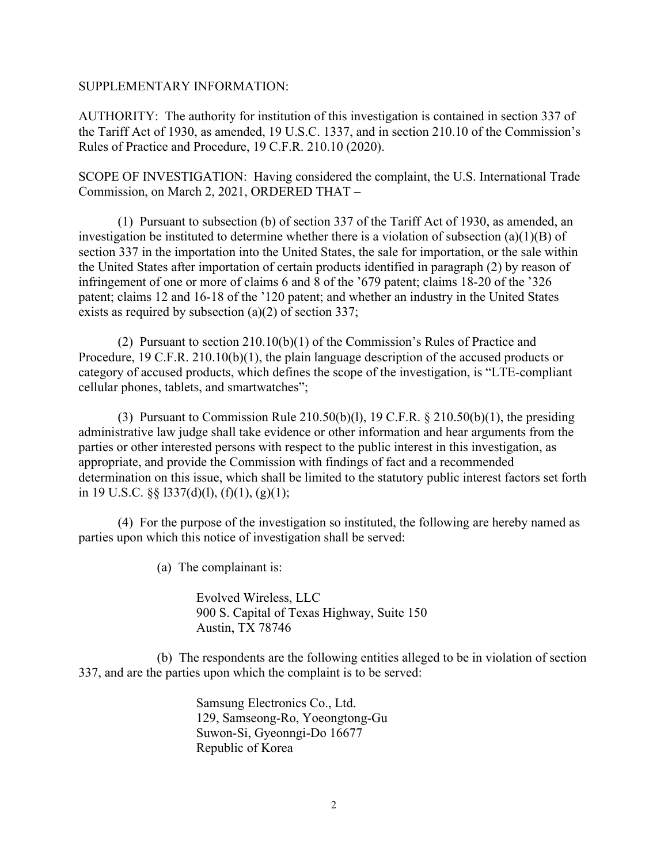## SUPPLEMENTARY INFORMATION:

AUTHORITY: The authority for institution of this investigation is contained in section 337 of the Tariff Act of 1930, as amended, 19 U.S.C. 1337, and in section 210.10 of the Commission's Rules of Practice and Procedure, 19 C.F.R. 210.10 (2020).

SCOPE OF INVESTIGATION: Having considered the complaint, the U.S. International Trade Commission, on March 2, 2021, ORDERED THAT –

(1) Pursuant to subsection (b) of section 337 of the Tariff Act of 1930, as amended, an investigation be instituted to determine whether there is a violation of subsection (a)(1)(B) of section 337 in the importation into the United States, the sale for importation, or the sale within the United States after importation of certain products identified in paragraph (2) by reason of infringement of one or more of claims 6 and 8 of the '679 patent; claims 18-20 of the '326 patent; claims 12 and 16-18 of the '120 patent; and whether an industry in the United States exists as required by subsection (a)(2) of section 337;

(2) Pursuant to section 210.10(b)(1) of the Commission's Rules of Practice and Procedure, 19 C.F.R. 210.10(b)(1), the plain language description of the accused products or category of accused products, which defines the scope of the investigation, is "LTE-compliant cellular phones, tablets, and smartwatches";

(3) Pursuant to Commission Rule  $210.50(b)(1)$ , 19 C.F.R. §  $210.50(b)(1)$ , the presiding administrative law judge shall take evidence or other information and hear arguments from the parties or other interested persons with respect to the public interest in this investigation, as appropriate, and provide the Commission with findings of fact and a recommended determination on this issue, which shall be limited to the statutory public interest factors set forth in 19 U.S.C.  $\S$  $\S$  1337(d)(1), (f)(1), (g)(1);

(4) For the purpose of the investigation so instituted, the following are hereby named as parties upon which this notice of investigation shall be served:

(a) The complainant is:

Evolved Wireless, LLC 900 S. Capital of Texas Highway, Suite 150 Austin, TX 78746

(b) The respondents are the following entities alleged to be in violation of section 337, and are the parties upon which the complaint is to be served:

> Samsung Electronics Co., Ltd. 129, Samseong-Ro, Yoeongtong-Gu Suwon-Si, Gyeonngi-Do 16677 Republic of Korea